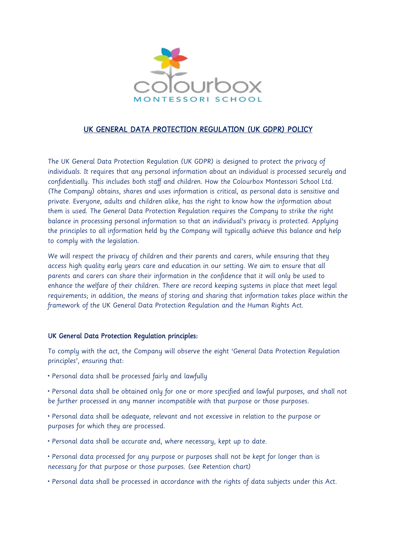

# UK GENERAL DATA PROTECTION REGULATION (UK GDPR) POLICY

The UK General Data Protection Regulation (UK GDPR) is designed to protect the privacy of individuals. It requires that any personal information about an individual is processed securely and confidentially. This includes both staff and children. How the Colourbox Montessori School Ltd. (The Company) obtains, shares and uses information is critical, as personal data is sensitive and private. Everyone, adults and children alike, has the right to know how the information about them is used. The General Data Protection Regulation requires the Company to strike the right balance in processing personal information so that an individual's privacy is protected. Applying the principles to all information held by the Company will typically achieve this balance and help to comply with the legislation.

We will respect the privacy of children and their parents and carers, while ensuring that they access high quality early years care and education in our setting. We aim to ensure that all parents and carers can share their information in the confidence that it will only be used to enhance the welfare of their children. There are record keeping systems in place that meet legal requirements; in addition, the means of storing and sharing that information takes place within the framework of the UK General Data Protection Regulation and the Human Rights Act.

### UK General Data Protection Regulation principles:

To comply with the act, the Company will observe the eight 'General Data Protection Regulation principles', ensuring that:

• Personal data shall be processed fairly and lawfully

• Personal data shall be obtained only for one or more specified and lawful purposes, and shall not be further processed in any manner incompatible with that purpose or those purposes.

• Personal data shall be adequate, relevant and not excessive in relation to the purpose or purposes for which they are processed.

- Personal data shall be accurate and, where necessary, kept up to date.
- Personal data processed for any purpose or purposes shall not be kept for longer than is necessary for that purpose or those purposes. (see Retention chart)
- Personal data shall be processed in accordance with the rights of data subjects under this Act.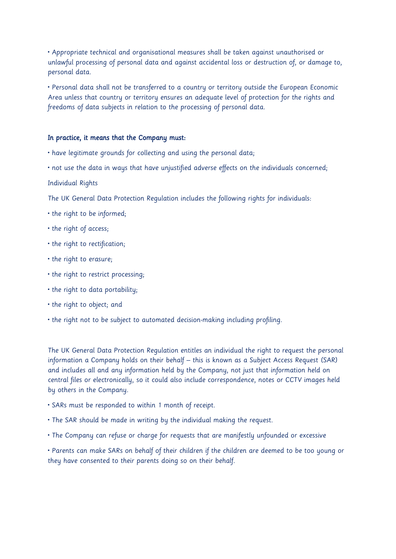• Appropriate technical and organisational measures shall be taken against unauthorised or unlawful processing of personal data and against accidental loss or destruction of, or damage to, personal data.

• Personal data shall not be transferred to a country or territory outside the European Economic Area unless that country or territory ensures an adequate level of protection for the rights and freedoms of data subjects in relation to the processing of personal data.

#### In practice, it means that the Company must:

• have legitimate grounds for collecting and using the personal data;

• not use the data in ways that have unjustified adverse effects on the individuals concerned;

#### Individual Rights

The UK General Data Protection Regulation includes the following rights for individuals:

- the right to be informed;
- the right of access;
- the right to rectification;
- the right to erasure;
- the right to restrict processing;
- the right to data portability;
- the right to object; and
- the right not to be subject to automated decision-making including profiling.

The UK General Data Protection Regulation entitles an individual the right to request the personal information a Company holds on their behalf – this is known as a Subject Access Request (SAR) and includes all and any information held by the Company, not just that information held on central files or electronically, so it could also include correspondence, notes or CCTV images held by others in the Company.

- SARs must be responded to within 1 month of receipt.
- The SAR should be made in writing by the individual making the request.
- The Company can refuse or charge for requests that are manifestly unfounded or excessive

• Parents can make SARs on behalf of their children if the children are deemed to be too young or they have consented to their parents doing so on their behalf.